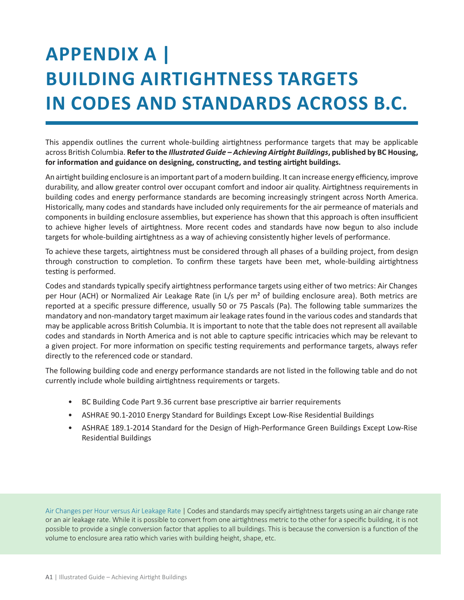## **APPENDIX A | BUILDING AIRTIGHTNESS TARGETS IN CODES AND STANDARDS ACROSS B.C.**

This appendix outlines the current whole-building airtightness performance targets that may be applicable across British Columbia. **Refer to the** *Illustrated Guide – Achieving Airtight Buildings***, published by BC Housing, for information and guidance on designing, constructing, and testing airtight buildings.** 

An airtight building enclosure is an important part of a modern building. It can increase energy efficiency, improve durability, and allow greater control over occupant comfort and indoor air quality. Airtightness requirements in building codes and energy performance standards are becoming increasingly stringent across North America. Historically, many codes and standards have included only requirements for the air permeance of materials and components in building enclosure assemblies, but experience has shown that this approach is often insufficient to achieve higher levels of airtightness. More recent codes and standards have now begun to also include targets for whole-building airtightness as a way of achieving consistently higher levels of performance.

To achieve these targets, airtightness must be considered through all phases of a building project, from design through construction to completion. To confirm these targets have been met, whole-building airtightness testing is performed.

Codes and standards typically specify airtightness performance targets using either of two metrics: Air Changes per Hour (ACH) or Normalized Air Leakage Rate (in L/s per m<sup>2</sup> of building enclosure area). Both metrics are reported at a specific pressure difference, usually 50 or 75 Pascals (Pa). The following table summarizes the mandatory and non-mandatory target maximum air leakage rates found in the various codes and standards that may be applicable across British Columbia. It is important to note that the table does not represent all available codes and standards in North America and is not able to capture specific intricacies which may be relevant to a given project. For more information on specific testing requirements and performance targets, always refer directly to the referenced code or standard.

The following building code and energy performance standards are not listed in the following table and do not currently include whole building airtightness requirements or targets.

- BC Building Code Part 9.36 current base prescriptive air barrier requirements
- ASHRAE 90.1-2010 Energy Standard for Buildings Except Low-Rise Residential Buildings
- ASHRAE 189.1-2014 Standard for the Design of High-Performance Green Buildings Except Low-Rise Residential Buildings

Air Changes per Hour versus Air Leakage Rate | Codes and standards may specify airtightness targets using an air change rate or an air leakage rate. While it is possible to convert from one airtightness metric to the other for a specific building, it is not possible to provide a single conversion factor that applies to all buildings. This is because the conversion is a function of the volume to enclosure area ratio which varies with building height, shape, etc.